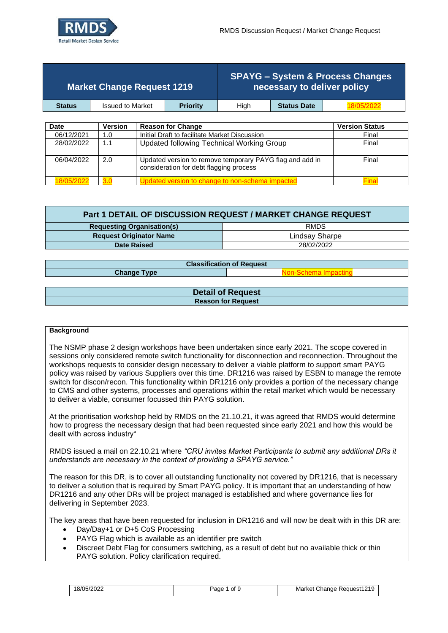

| <b>Market Change Request 1219</b> |                         |  | <b>SPAYG - System &amp; Process Changes</b><br>necessary to deliver policy |      |                    |                       |
|-----------------------------------|-------------------------|--|----------------------------------------------------------------------------|------|--------------------|-----------------------|
| <b>Status</b>                     | <b>Issued to Market</b> |  | <b>Priority</b>                                                            | Hiah | <b>Status Date</b> |                       |
|                                   |                         |  |                                                                            |      |                    |                       |
| <b>Date</b>                       | <b>Version</b>          |  | <b>Reason for Change</b>                                                   |      |                    | <b>Version Status</b> |

| 06/12/2021 | 1.0 | Initial Draft to facilitate Market Discussion                                                       | Final |
|------------|-----|-----------------------------------------------------------------------------------------------------|-------|
| 28/02/2022 | 1.1 | Updated following Technical Working Group                                                           | Final |
| 06/04/2022 | 2.0 | Updated version to remove temporary PAYG flag and add in<br>consideration for debt flagging process | Final |
|            |     | odated version to change to non-schema impac                                                        |       |

| Part 1 DETAIL OF DISCUSSION REQUEST / MARKET CHANGE REQUEST |                |  |  |  |  |
|-------------------------------------------------------------|----------------|--|--|--|--|
| <b>RMDS</b><br><b>Requesting Organisation(s)</b>            |                |  |  |  |  |
| <b>Request Originator Name</b>                              | Lindsay Sharpe |  |  |  |  |
| 28/02/2022<br><b>Date Raised</b>                            |                |  |  |  |  |

| <b>Classification of Request</b> |                          |
|----------------------------------|--------------------------|
| <b>Change Type</b>               | <b>Jon-Schema Impact</b> |
|                                  |                          |
| <b>Detail of Request</b>         |                          |
| <b>Reason for Request</b>        |                          |

#### **Background**

The NSMP phase 2 design workshops have been undertaken since early 2021. The scope covered in sessions only considered remote switch functionality for disconnection and reconnection. Throughout the workshops requests to consider design necessary to deliver a viable platform to support smart PAYG policy was raised by various Suppliers over this time. DR1216 was raised by ESBN to manage the remote switch for discon/recon. This functionality within DR1216 only provides a portion of the necessary change to CMS and other systems, processes and operations within the retail market which would be necessary to deliver a viable, consumer focussed thin PAYG solution.

At the prioritisation workshop held by RMDS on the 21.10.21, it was agreed that RMDS would determine how to progress the necessary design that had been requested since early 2021 and how this would be dealt with across industry"

RMDS issued a mail on 22.10.21 where *"CRU invites Market Participants to submit any additional DRs it understands are necessary in the context of providing a SPAYG service."*

The reason for this DR, is to cover all outstanding functionality not covered by DR1216, that is necessary to deliver a solution that is required by Smart PAYG policy. It is important that an understanding of how DR1216 and any other DRs will be project managed is established and where governance lies for delivering in September 2023.

The key areas that have been requested for inclusion in DR1216 and will now be dealt with in this DR are:

- Day/Day+1 or D+5 CoS Processing
- PAYG Flag which is available as an identifier pre switch
- Discreet Debt Flag for consumers switching, as a result of debt but no available thick or thin PAYG solution. Policy clarification required.

| 18/05/2022 | ot 9<br>Page | Request1219<br>Market<br>Change |
|------------|--------------|---------------------------------|
|------------|--------------|---------------------------------|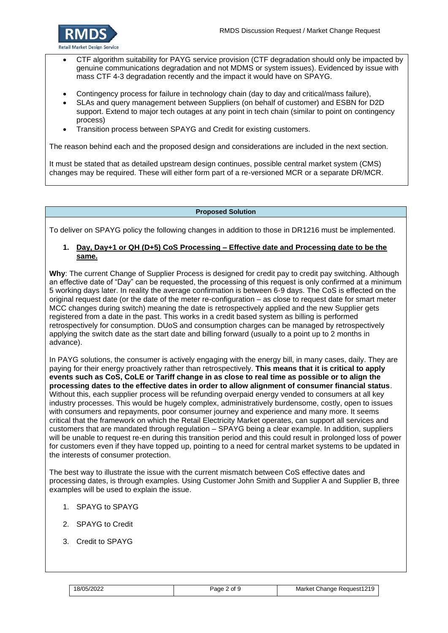

- CTF algorithm suitability for PAYG service provision (CTF degradation should only be impacted by genuine communications degradation and not MDMS or system issues). Evidenced by issue with mass CTF 4-3 degradation recently and the impact it would have on SPAYG.
- Contingency process for failure in technology chain (day to day and critical/mass failure),
- SLAs and query management between Suppliers (on behalf of customer) and ESBN for D2D support. Extend to major tech outages at any point in tech chain (similar to point on contingency process)
- Transition process between SPAYG and Credit for existing customers.

The reason behind each and the proposed design and considerations are included in the next section.

It must be stated that as detailed upstream design continues, possible central market system (CMS) changes may be required. These will either form part of a re-versioned MCR or a separate DR/MCR.

#### **Proposed Solution**

To deliver on SPAYG policy the following changes in addition to those in DR1216 must be implemented.

### **1. Day, Day+1 or QH (D+5) CoS Processing – Effective date and Processing date to be the same.**

**Why**: The current Change of Supplier Process is designed for credit pay to credit pay switching. Although an effective date of "Day" can be requested, the processing of this request is only confirmed at a minimum 5 working days later. In reality the average confirmation is between 6-9 days. The CoS is effected on the original request date (or the date of the meter re-configuration – as close to request date for smart meter MCC changes during switch) meaning the date is retrospectively applied and the new Supplier gets registered from a date in the past. This works in a credit based system as billing is performed retrospectively for consumption. DUoS and consumption charges can be managed by retrospectively applying the switch date as the start date and billing forward (usually to a point up to 2 months in advance).

In PAYG solutions, the consumer is actively engaging with the energy bill, in many cases, daily. They are paying for their energy proactively rather than retrospectively. **This means that it is critical to apply events such as CoS, CoLE or Tariff change in as close to real time as possible or to align the processing dates to the effective dates in order to allow alignment of consumer financial status**. Without this, each supplier process will be refunding overpaid energy vended to consumers at all key industry processes. This would be hugely complex, administratively burdensome, costly, open to issues with consumers and repayments, poor consumer journey and experience and many more. It seems critical that the framework on which the Retail Electricity Market operates, can support all services and customers that are mandated through regulation – SPAYG being a clear example. In addition, suppliers will be unable to request re-en during this transition period and this could result in prolonged loss of power for customers even if they have topped up, pointing to a need for central market systems to be updated in the interests of consumer protection.

The best way to illustrate the issue with the current mismatch between CoS effective dates and processing dates, is through examples. Using Customer John Smith and Supplier A and Supplier B, three examples will be used to explain the issue.

- 1. SPAYG to SPAYG
- 2. SPAYG to Credit
- 3. Credit to SPAYG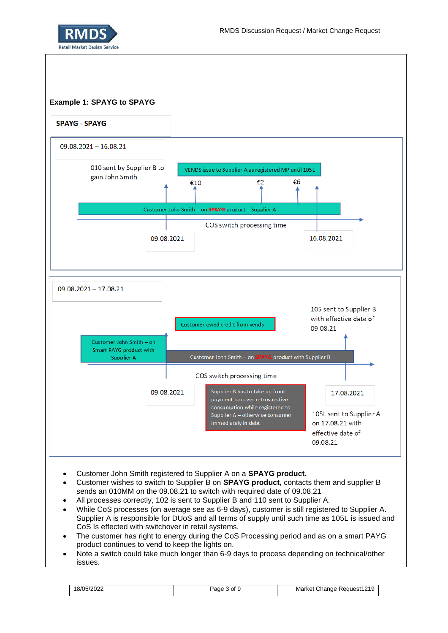



- Customer John Smith registered to Supplier A on a **SPAYG product.**
- Customer wishes to switch to Supplier B on **SPAYG product,** contacts them and supplier B sends an 010MM on the 09.08.21 to switch with required date of 09.08.21
- All processes correctly, 102 is sent to Supplier B and 110 sent to Supplier A.
- While CoS processes (on average see as 6-9 days), customer is still registered to Supplier A. Supplier A is responsible for DUoS and all terms of supply until such time as 105L is issued and CoS Is effected with switchover in retail systems.
- The customer has right to energy during the CoS Processing period and as on a smart PAYG product continues to vend to keep the lights on.
- Note a switch could take much longer than 6-9 days to process depending on technical/other issues.

| 18/05/2022 | aae<br>Οt | Request1219<br>Market <sup>*</sup><br>Change |  |
|------------|-----------|----------------------------------------------|--|
|------------|-----------|----------------------------------------------|--|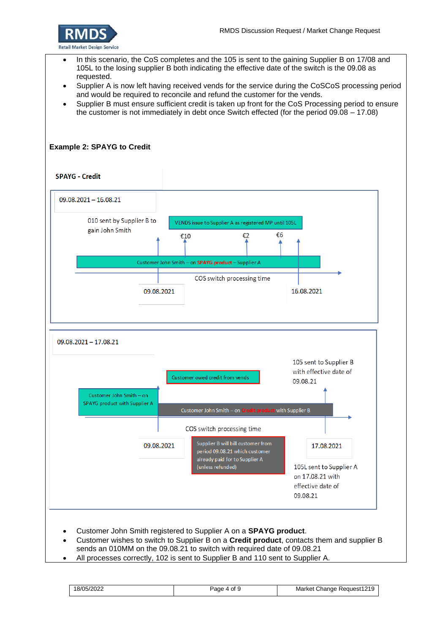

- In this scenario, the CoS completes and the 105 is sent to the gaining Supplier B on 17/08 and 105L to the losing supplier B both indicating the effective date of the switch is the 09.08 as requested.
- Supplier A is now left having received vends for the service during the CoSCoS processing period and would be required to reconcile and refund the customer for the vends.
- Supplier B must ensure sufficient credit is taken up front for the CoS Processing period to ensure the customer is not immediately in debt once Switch effected (for the period 09.08 – 17.08)

## **Example 2: SPAYG to Credit**

#### **SPAYG - Credit**



- Customer wishes to switch to Supplier B on a **Credit product**, contacts them and supplier B sends an 010MM on the 09.08.21 to switch with required date of 09.08.21
- All processes correctly, 102 is sent to Supplier B and 110 sent to Supplier A.

18/05/2022 Page 4 of 9 Market Change Request1219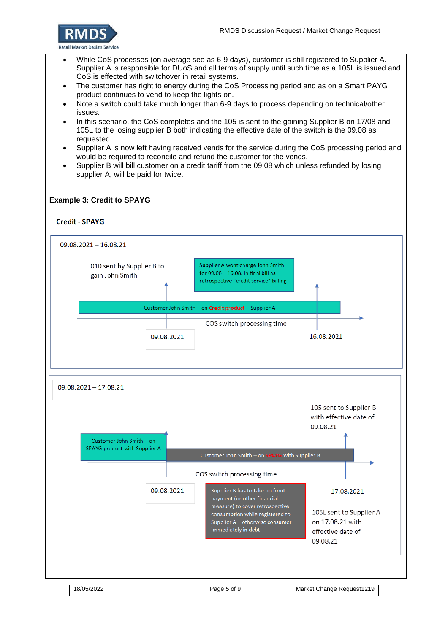

- While CoS processes (on average see as 6-9 days), customer is still registered to Supplier A. Supplier A is responsible for DUoS and all terms of supply until such time as a 105L is issued and CoS is effected with switchover in retail systems.
- The customer has right to energy during the CoS Processing period and as on a Smart PAYG product continues to vend to keep the lights on.
- Note a switch could take much longer than 6-9 days to process depending on technical/other issues.
- In this scenario, the CoS completes and the 105 is sent to the gaining Supplier B on 17/08 and 105L to the losing supplier B both indicating the effective date of the switch is the 09.08 as requested.
- Supplier A is now left having received vends for the service during the CoS processing period and would be required to reconcile and refund the customer for the vends.
- Supplier B will bill customer on a credit tariff from the 09.08 which unless refunded by losing supplier A, will be paid for twice.

### **Example 3: Credit to SPAYG**

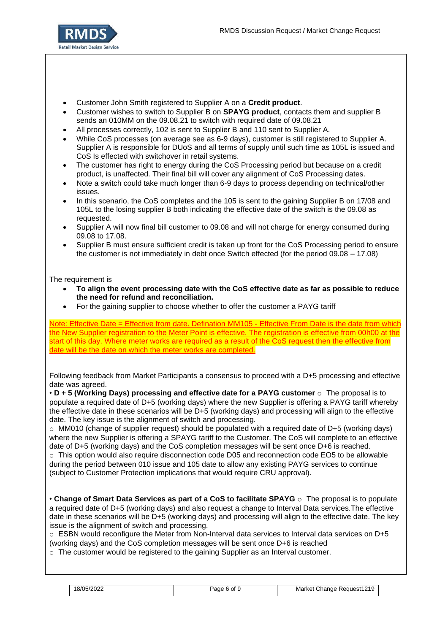

- Customer John Smith registered to Supplier A on a **Credit product**.
- Customer wishes to switch to Supplier B on **SPAYG product**, contacts them and supplier B sends an 010MM on the 09.08.21 to switch with required date of 09.08.21
- All processes correctly, 102 is sent to Supplier B and 110 sent to Supplier A.
- While CoS processes (on average see as 6-9 days), customer is still registered to Supplier A. Supplier A is responsible for DUoS and all terms of supply until such time as 105L is issued and CoS Is effected with switchover in retail systems.
- The customer has right to energy during the CoS Processing period but because on a credit product, is unaffected. Their final bill will cover any alignment of CoS Processing dates.
- Note a switch could take much longer than 6-9 days to process depending on technical/other issues.
- In this scenario, the CoS completes and the 105 is sent to the gaining Supplier B on 17/08 and 105L to the losing supplier B both indicating the effective date of the switch is the 09.08 as requested.
- Supplier A will now final bill customer to 09.08 and will not charge for energy consumed during 09.08 to 17.08.
- Supplier B must ensure sufficient credit is taken up front for the CoS Processing period to ensure the customer is not immediately in debt once Switch effected (for the period 09.08 – 17.08)

### The requirement is

- **To align the event processing date with the CoS effective date as far as possible to reduce the need for refund and reconciliation.**
- For the gaining supplier to choose whether to offer the customer a PAYG tariff

Note: Effective Date = Effective from date. Defination MM105 - Effective From Date is the date from which the New Supplier registration to the Meter Point is effective. The registration is effective from 00h00 at the start of this day. Where meter works are required as a result of the CoS request then the effective from date will be the date on which the meter works are completed.

| Following feedback from Market Participants a consensus to proceed with a D+5 processing and effective |  |
|--------------------------------------------------------------------------------------------------------|--|
| date was agreed.                                                                                       |  |

• **D + 5 (Working Days) processing and effective date for a PAYG customer** o The proposal is to populate a required date of D+5 (working days) where the new Supplier is offering a PAYG tariff whereby the effective date in these scenarios will be D+5 (working days) and processing will align to the effective date. The key issue is the alignment of switch and processing.

 $\circ$  MM010 (change of supplier request) should be populated with a required date of D+5 (working days) where the new Supplier is offering a SPAYG tariff to the Customer. The CoS will complete to an effective date of D+5 (working days) and the CoS completion messages will be sent once D+6 is reached. o This option would also require disconnection code D05 and reconnection code EO5 to be allowable during the period between 010 issue and 105 date to allow any existing PAYG services to continue (subject to Customer Protection implications that would require CRU approval).

• **Change of Smart Data Services as part of a CoS to facilitate SPAYG** o The proposal is to populate a required date of D+5 (working days) and also request a change to Interval Data services.The effective date in these scenarios will be D+5 (working days) and processing will align to the effective date. The key issue is the alignment of switch and processing.

o ESBN would reconfigure the Meter from Non-Interval data services to Interval data services on D+5 (working days) and the CoS completion messages will be sent once D+6 is reached

 $\circ$  The customer would be registered to the gaining Supplier as an Interval customer.

| 18/05/2022<br>Market Change Request1219<br>Page 6 of 9 |  |
|--------------------------------------------------------|--|
|--------------------------------------------------------|--|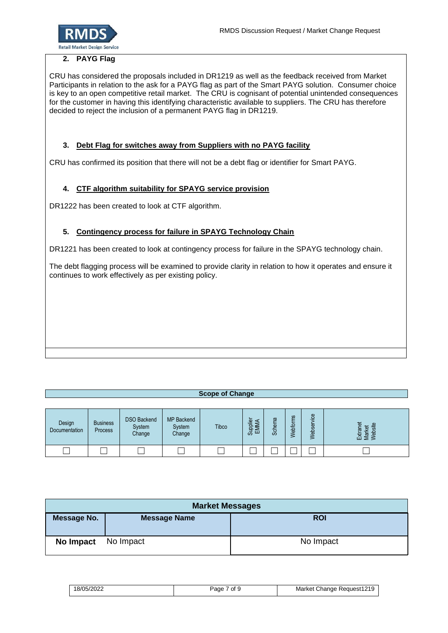

## **2. PAYG Flag**

CRU has considered the proposals included in DR1219 as well as the feedback received from Market Participants in relation to the ask for a PAYG flag as part of the Smart PAYG solution. Consumer choice is key to an open competitive retail market. The CRU is cognisant of potential unintended consequences for the customer in having this identifying characteristic available to suppliers. The CRU has therefore decided to reject the inclusion of a permanent PAYG flag in DR1219.

# **3. Debt Flag for switches away from Suppliers with no PAYG facility**

CRU has confirmed its position that there will not be a debt flag or identifier for Smart PAYG.

# **4. CTF algorithm suitability for SPAYG service provision**

DR1222 has been created to look at CTF algorithm.

# **5. Contingency process for failure in SPAYG Technology Chain**

DR1221 has been created to look at contingency process for failure in the SPAYG technology chain.

The debt flagging process will be examined to provide clarity in relation to how it operates and ensure it continues to work effectively as per existing policy.

# **Scope of Change**

| Design<br>Documentation | <b>Business</b><br>Process | <b>DSO Backend</b><br>System<br>Change | <b>MP</b> Backend<br>System<br>Change | <b>Tibco</b> | $\overline{\omega}$<br>П<br>ಪ | π<br>æ<br>ద్ద | ဖာ<br>ebfo | $\omega$<br>O<br>÷<br>$\overline{\Phi}$<br>ဖာ<br>-옮<br>≲ | 黃<br>$\sigma$<br>沫흥<br>᠊ᡂ |
|-------------------------|----------------------------|----------------------------------------|---------------------------------------|--------------|-------------------------------|---------------|------------|----------------------------------------------------------|---------------------------|
|                         |                            |                                        |                                       |              |                               |               |            |                                                          |                           |

| <b>Market Messages</b> |                     |            |  |  |  |
|------------------------|---------------------|------------|--|--|--|
| Message No.            | <b>Message Name</b> | <b>ROI</b> |  |  |  |
| <b>No Impact</b>       | No Impact           | No Impact  |  |  |  |

| 18/05/2022 | of 9<br>Page | Market Change Request1219 |
|------------|--------------|---------------------------|
|------------|--------------|---------------------------|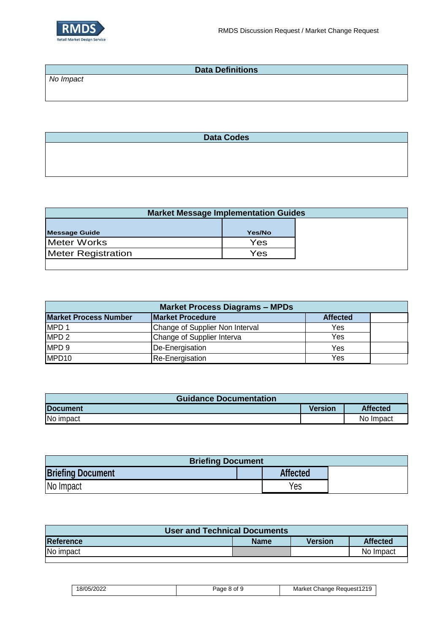

| <b>Data Definitions</b> |  |
|-------------------------|--|
| No Impact               |  |
|                         |  |
|                         |  |

**Data Codes**

| <b>Market Message Implementation Guides</b> |        |  |
|---------------------------------------------|--------|--|
|                                             |        |  |
| <b>Message Guide</b>                        | Yes/No |  |
| Meter Works                                 | Yes    |  |
| <b>Meter Registration</b>                   | Yes    |  |
|                                             |        |  |

| <b>Market Process Diagrams - MPDs</b> |                                 |                 |  |
|---------------------------------------|---------------------------------|-----------------|--|
| <b>Market Process Number</b>          | <b>Market Procedure</b>         | <b>Affected</b> |  |
| MPD <sub>1</sub>                      | Change of Supplier Non Interval | Yes             |  |
| MPD <sub>2</sub>                      | Change of Supplier Interva      | Yes             |  |
| MPD <sub>9</sub>                      | De-Energisation                 | Yes             |  |
| MPD <sub>10</sub>                     | Re-Energisation                 | Yes             |  |

| <b>Guidance Documentation</b> |                |                 |
|-------------------------------|----------------|-----------------|
| <b>Document</b>               | <b>Version</b> | <b>Affected</b> |
| No impact                     |                | No Impact       |

| <b>Briefing Document</b> |  |                 |  |
|--------------------------|--|-----------------|--|
| <b>Briefing Document</b> |  | <b>Affected</b> |  |
| No Impact                |  | Yes             |  |

| <b>User and Technical Documents</b> |                |                 |  |
|-------------------------------------|----------------|-----------------|--|
| <b>Name</b>                         | <b>Version</b> | <b>Affected</b> |  |
|                                     |                | No Impact       |  |
|                                     |                |                 |  |

| 18/05/2022 | of 9<br>Paqe | Change Request1219<br>Market |
|------------|--------------|------------------------------|
|------------|--------------|------------------------------|